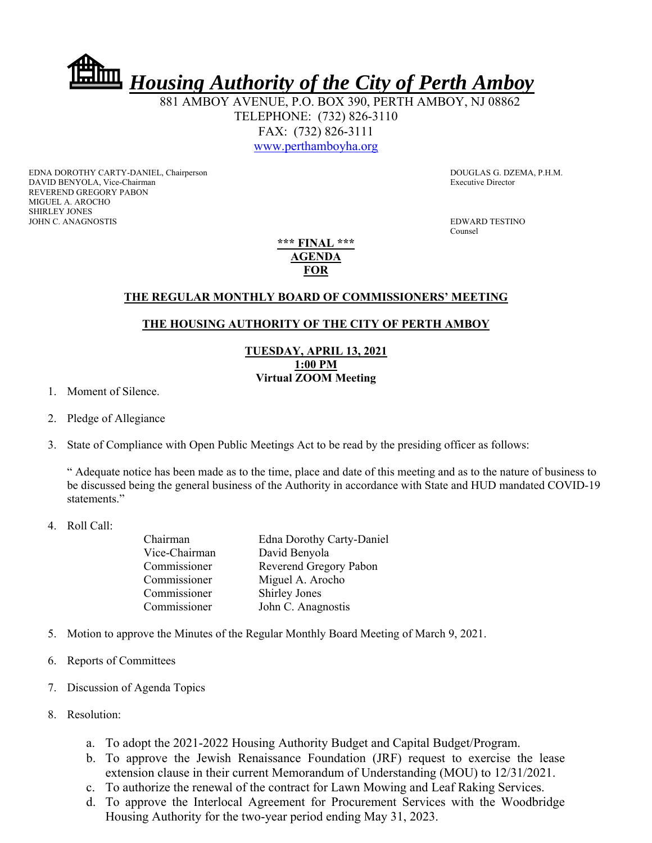*Housing Authority of the City of Perth Amboy*

 881 AMBOY AVENUE, P.O. BOX 390, PERTH AMBOY, NJ 08862 TELEPHONE: (732) 826-3110 FAX: (732) 826-3111 www.perthamboyha.org

EDNA DOROTHY CARTY-DANIEL, Chairperson **DOUGLAS G. DZEMA, P.H.M.** DAVID BENYOLA, Vice-Chairman Executive Director REVEREND GREGORY PABON MIGUEL A. AROCHO SHIRLEY JONES JOHN C. ANAGNOSTIS EDWARD TESTINO

**Counsel** 

**\*\*\* FINAL \*\*\* AGENDA FOR** 

## **THE REGULAR MONTHLY BOARD OF COMMISSIONERS' MEETING**

## **THE HOUSING AUTHORITY OF THE CITY OF PERTH AMBOY**

**TUESDAY, APRIL 13, 2021 1:00 PM Virtual ZOOM Meeting** 

1. Moment of Silence.

- 2. Pledge of Allegiance
- 3. State of Compliance with Open Public Meetings Act to be read by the presiding officer as follows:

" Adequate notice has been made as to the time, place and date of this meeting and as to the nature of business to be discussed being the general business of the Authority in accordance with State and HUD mandated COVID-19 statements."

## 4. Roll Call:

| Chairman      | Edna Dorothy Carty-Daniel |
|---------------|---------------------------|
| Vice-Chairman | David Benyola             |
| Commissioner  | Reverend Gregory Pabon    |
| Commissioner  | Miguel A. Arocho          |
| Commissioner  | <b>Shirley Jones</b>      |
| Commissioner  | John C. Anagnostis        |
|               |                           |

- 5. Motion to approve the Minutes of the Regular Monthly Board Meeting of March 9, 2021.
- 6. Reports of Committees
- 7. Discussion of Agenda Topics
- 8. Resolution:
	- a. To adopt the 2021-2022 Housing Authority Budget and Capital Budget/Program.
	- b. To approve the Jewish Renaissance Foundation (JRF) request to exercise the lease extension clause in their current Memorandum of Understanding (MOU) to 12/31/2021.
	- c. To authorize the renewal of the contract for Lawn Mowing and Leaf Raking Services.
	- d. To approve the Interlocal Agreement for Procurement Services with the Woodbridge Housing Authority for the two-year period ending May 31, 2023.